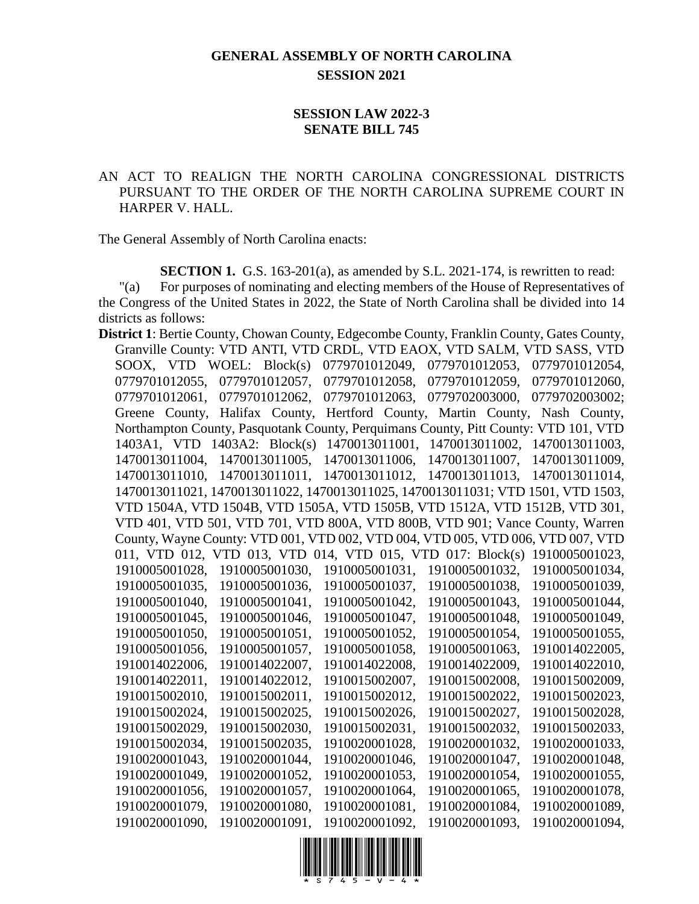## **GENERAL ASSEMBLY OF NORTH CAROLINA SESSION 2021**

## **SESSION LAW 2022-3 SENATE BILL 745**

## AN ACT TO REALIGN THE NORTH CAROLINA CONGRESSIONAL DISTRICTS PURSUANT TO THE ORDER OF THE NORTH CAROLINA SUPREME COURT IN HARPER V. HALL.

The General Assembly of North Carolina enacts:

**SECTION 1.** G.S. 163-201(a), as amended by S.L. 2021-174, is rewritten to read:

"(a) For purposes of nominating and electing members of the House of Representatives of the Congress of the United States in 2022, the State of North Carolina shall be divided into 14 districts as follows:

**District 1**: Bertie County, Chowan County, Edgecombe County, Franklin County, Gates County, Granville County: VTD ANTI, VTD CRDL, VTD EAOX, VTD SALM, VTD SASS, VTD SOOX, VTD WOEL: Block(s) 0779701012049, 0779701012053, 0779701012054, 0779701012055, 0779701012057, 0779701012058, 0779701012059, 0779701012060, 0779701012061, 0779701012062, 0779701012063, 0779702003000, 0779702003002; Greene County, Halifax County, Hertford County, Martin County, Nash County, Northampton County, Pasquotank County, Perquimans County, Pitt County: VTD 101, VTD 1403A1, VTD 1403A2: Block(s) 1470013011001, 1470013011002, 1470013011003, 1470013011004, 1470013011005, 1470013011006, 1470013011007, 1470013011009, 1470013011010, 1470013011011, 1470013011012, 1470013011013, 1470013011014, 1470013011021, 1470013011022, 1470013011025, 1470013011031; VTD 1501, VTD 1503, VTD 1504A, VTD 1504B, VTD 1505A, VTD 1505B, VTD 1512A, VTD 1512B, VTD 301, VTD 401, VTD 501, VTD 701, VTD 800A, VTD 800B, VTD 901; Vance County, Warren County, Wayne County: VTD 001, VTD 002, VTD 004, VTD 005, VTD 006, VTD 007, VTD 011, VTD 012, VTD 013, VTD 014, VTD 015, VTD 017: Block(s) 1910005001023, 1910005001028, 1910005001030, 1910005001031, 1910005001032, 1910005001034, 1910005001035, 1910005001036, 1910005001037, 1910005001038, 1910005001039, 1910005001040, 1910005001041, 1910005001042, 1910005001043, 1910005001044, 1910005001045, 1910005001046, 1910005001047, 1910005001048, 1910005001049, 1910005001050, 1910005001051, 1910005001052, 1910005001054, 1910005001055, 1910005001056, 1910005001057, 1910005001058, 1910005001063, 1910014022005, 1910014022006, 1910014022007, 1910014022008, 1910014022009, 1910014022010, 1910014022011, 1910014022012, 1910015002007, 1910015002008, 1910015002009, 1910015002010, 1910015002011, 1910015002012, 1910015002022, 1910015002023, 1910015002024, 1910015002025, 1910015002026, 1910015002027, 1910015002028, 1910015002029, 1910015002030, 1910015002031, 1910015002032, 1910015002033, 1910015002034, 1910015002035, 1910020001028, 1910020001032, 1910020001033, 1910020001043, 1910020001044, 1910020001046, 1910020001047, 1910020001048, 1910020001049, 1910020001052, 1910020001053, 1910020001054, 1910020001055, 1910020001056, 1910020001057, 1910020001064, 1910020001065, 1910020001078, 1910020001079, 1910020001080, 1910020001081, 1910020001084, 1910020001089, 1910020001090, 1910020001091, 1910020001092, 1910020001093, 1910020001094,

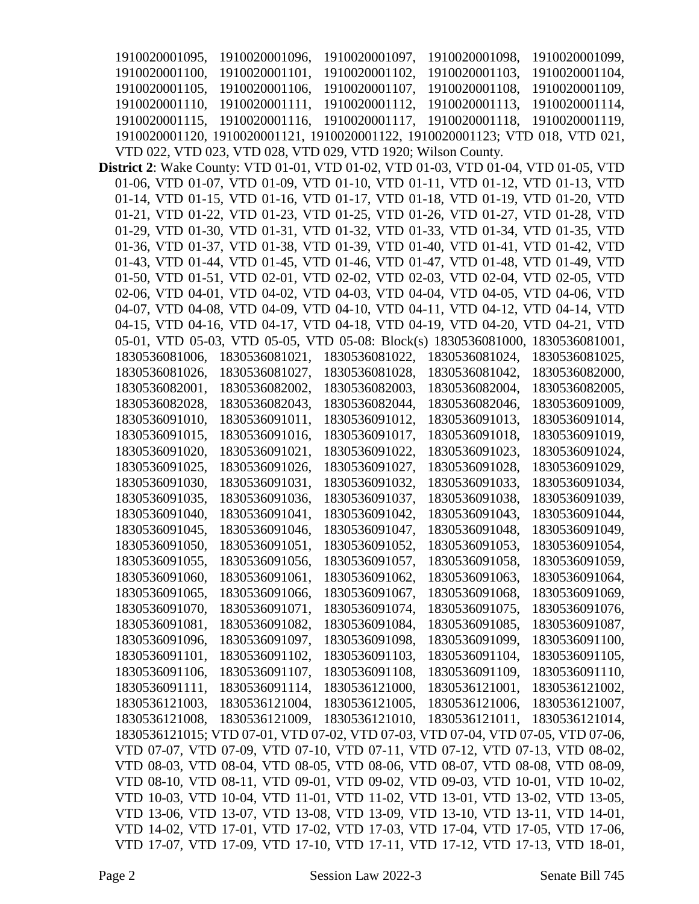1910020001095, 1910020001096, 1910020001097, 1910020001098, 1910020001099, 1910020001100, 1910020001101, 1910020001102, 1910020001103, 1910020001104, 1910020001105, 1910020001106, 1910020001107, 1910020001108, 1910020001109, 1910020001110, 1910020001111, 1910020001112, 1910020001113, 1910020001114, 1910020001115, 1910020001116, 1910020001117, 1910020001118, 1910020001119, 1910020001120, 1910020001121, 1910020001122, 1910020001123; VTD 018, VTD 021, VTD 022, VTD 023, VTD 028, VTD 029, VTD 1920; Wilson County. **District 2**: Wake County: VTD 01-01, VTD 01-02, VTD 01-03, VTD 01-04, VTD 01-05, VTD 01-06, VTD 01-07, VTD 01-09, VTD 01-10, VTD 01-11, VTD 01-12, VTD 01-13, VTD 01-14, VTD 01-15, VTD 01-16, VTD 01-17, VTD 01-18, VTD 01-19, VTD 01-20, VTD 01-21, VTD 01-22, VTD 01-23, VTD 01-25, VTD 01-26, VTD 01-27, VTD 01-28, VTD 01-29, VTD 01-30, VTD 01-31, VTD 01-32, VTD 01-33, VTD 01-34, VTD 01-35, VTD 01-36, VTD 01-37, VTD 01-38, VTD 01-39, VTD 01-40, VTD 01-41, VTD 01-42, VTD 01-43, VTD 01-44, VTD 01-45, VTD 01-46, VTD 01-47, VTD 01-48, VTD 01-49, VTD 01-50, VTD 01-51, VTD 02-01, VTD 02-02, VTD 02-03, VTD 02-04, VTD 02-05, VTD 02-06, VTD 04-01, VTD 04-02, VTD 04-03, VTD 04-04, VTD 04-05, VTD 04-06, VTD 04-07, VTD 04-08, VTD 04-09, VTD 04-10, VTD 04-11, VTD 04-12, VTD 04-14, VTD 04-15, VTD 04-16, VTD 04-17, VTD 04-18, VTD 04-19, VTD 04-20, VTD 04-21, VTD 05-01, VTD 05-03, VTD 05-05, VTD 05-08: Block(s) 1830536081000, 1830536081001, 1830536081006, 1830536081021, 1830536081022, 1830536081024, 1830536081025, 1830536081026, 1830536081027, 1830536081028, 1830536081042, 1830536082000, 1830536082001, 1830536082002, 1830536082003, 1830536082004, 1830536082005, 1830536082028, 1830536082043, 1830536082044, 1830536082046, 1830536091009, 1830536091010, 1830536091011, 1830536091012, 1830536091013, 1830536091014, 1830536091015, 1830536091016, 1830536091017, 1830536091018, 1830536091019, 1830536091020, 1830536091021, 1830536091022, 1830536091023, 1830536091024, 1830536091025, 1830536091026, 1830536091027, 1830536091028, 1830536091029, 1830536091030, 1830536091031, 1830536091032, 1830536091033, 1830536091034, 1830536091035, 1830536091036, 1830536091037, 1830536091038, 1830536091039, 1830536091040, 1830536091041, 1830536091042, 1830536091043, 1830536091044, 1830536091045, 1830536091046, 1830536091047, 1830536091048, 1830536091049, 1830536091050, 1830536091051, 1830536091052, 1830536091053, 1830536091054, 1830536091055, 1830536091056, 1830536091057, 1830536091058, 1830536091059, 1830536091060, 1830536091061, 1830536091062, 1830536091063, 1830536091064, 1830536091065, 1830536091066, 1830536091067, 1830536091068, 1830536091069, 1830536091070, 1830536091071, 1830536091074, 1830536091075, 1830536091076, 1830536091081, 1830536091082, 1830536091084, 1830536091085, 1830536091087, 1830536091096, 1830536091097, 1830536091098, 1830536091099, 1830536091100, 1830536091101, 1830536091102, 1830536091103, 1830536091104, 1830536091105, 1830536091106, 1830536091107, 1830536091108, 1830536091109, 1830536091110, 1830536091111, 1830536091114, 1830536121000, 1830536121001, 1830536121002, 1830536121003, 1830536121004, 1830536121005, 1830536121006, 1830536121007, 1830536121008, 1830536121009, 1830536121010, 1830536121011, 1830536121014, 1830536121015; VTD 07-01, VTD 07-02, VTD 07-03, VTD 07-04, VTD 07-05, VTD 07-06, VTD 07-07, VTD 07-09, VTD 07-10, VTD 07-11, VTD 07-12, VTD 07-13, VTD 08-02, VTD 08-03, VTD 08-04, VTD 08-05, VTD 08-06, VTD 08-07, VTD 08-08, VTD 08-09, VTD 08-10, VTD 08-11, VTD 09-01, VTD 09-02, VTD 09-03, VTD 10-01, VTD 10-02, VTD 10-03, VTD 10-04, VTD 11-01, VTD 11-02, VTD 13-01, VTD 13-02, VTD 13-05, VTD 13-06, VTD 13-07, VTD 13-08, VTD 13-09, VTD 13-10, VTD 13-11, VTD 14-01, VTD 14-02, VTD 17-01, VTD 17-02, VTD 17-03, VTD 17-04, VTD 17-05, VTD 17-06, VTD 17-07, VTD 17-09, VTD 17-10, VTD 17-11, VTD 17-12, VTD 17-13, VTD 18-01,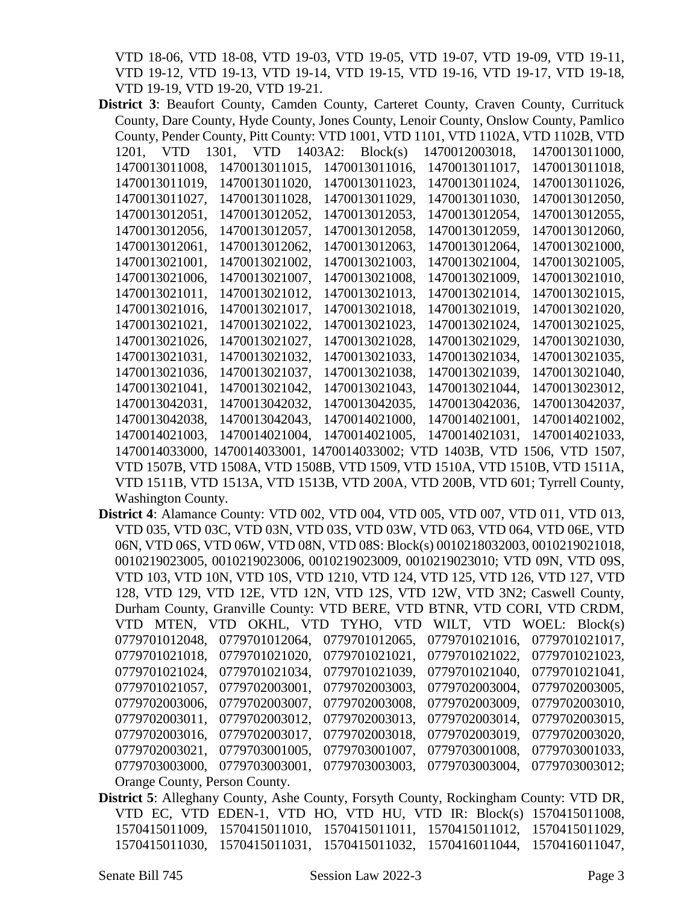VTD 18-06, VTD 18-08, VTD 19-03, VTD 19-05, VTD 19-07, VTD 19-09, VTD 19-11, VTD 19-12, VTD 19-13, VTD 19-14, VTD 19-15, VTD 19-16, VTD 19-17, VTD 19-18, VTD 19-19, VTD 19-20, VTD 19-21.

- **District 3**: Beaufort County, Camden County, Carteret County, Craven County, Currituck County, Dare County, Hyde County, Jones County, Lenoir County, Onslow County, Pamlico County, Pender County, Pitt County: VTD 1001, VTD 1101, VTD 1102A, VTD 1102B, VTD 1201, VTD 1301, VTD 1403A2: Block(s) 1470012003018, 1470013011000, 1470013011008, 1470013011015, 1470013011016, 1470013011017, 1470013011018, 1470013011019, 1470013011020, 1470013011023, 1470013011024, 1470013011026, 1470013011027, 1470013011028, 1470013011029, 1470013011030, 1470013012050, 1470013012051, 1470013012052, 1470013012053, 1470013012054, 1470013012055, 1470013012056, 1470013012057, 1470013012058, 1470013012059, 1470013012060, 1470013012061, 1470013012062, 1470013012063, 1470013012064, 1470013021000, 1470013021001, 1470013021002, 1470013021003, 1470013021004, 1470013021005, 1470013021006, 1470013021007, 1470013021008, 1470013021009, 1470013021010, 1470013021011, 1470013021012, 1470013021013, 1470013021014, 1470013021015, 1470013021016, 1470013021017, 1470013021018, 1470013021019, 1470013021020, 1470013021021, 1470013021022, 1470013021023, 1470013021024, 1470013021025, 1470013021026, 1470013021027, 1470013021028, 1470013021029, 1470013021030, 1470013021031, 1470013021032, 1470013021033, 1470013021034, 1470013021035, 1470013021036, 1470013021037, 1470013021038, 1470013021039, 1470013021040, 1470013021041, 1470013021042, 1470013021043, 1470013021044, 1470013023012, 1470013042031, 1470013042032, 1470013042035, 1470013042036, 1470013042037, 1470013042038, 1470013042043, 1470014021000, 1470014021001, 1470014021002, 1470014021003, 1470014021004, 1470014021005, 1470014021031, 1470014021033, 1470014033000, 1470014033001, 1470014033002; VTD 1403B, VTD 1506, VTD 1507, VTD 1507B, VTD 1508A, VTD 1508B, VTD 1509, VTD 1510A, VTD 1510B, VTD 1511A, VTD 1511B, VTD 1513A, VTD 1513B, VTD 200A, VTD 200B, VTD 601; Tyrrell County, Washington County.
- **District 4**: Alamance County: VTD 002, VTD 004, VTD 005, VTD 007, VTD 011, VTD 013, VTD 035, VTD 03C, VTD 03N, VTD 03S, VTD 03W, VTD 063, VTD 064, VTD 06E, VTD 06N, VTD 06S, VTD 06W, VTD 08N, VTD 08S: Block(s) 0010218032003, 0010219021018, 0010219023005, 0010219023006, 0010219023009, 0010219023010; VTD 09N, VTD 09S, VTD 103, VTD 10N, VTD 10S, VTD 1210, VTD 124, VTD 125, VTD 126, VTD 127, VTD 128, VTD 129, VTD 12E, VTD 12N, VTD 12S, VTD 12W, VTD 3N2; Caswell County, Durham County, Granville County: VTD BERE, VTD BTNR, VTD CORI, VTD CRDM, VTD MTEN, VTD OKHL, VTD TYHO, VTD WILT, VTD WOEL: Block(s) 0779701012048, 0779701012064, 0779701012065, 0779701021016, 0779701021017, 0779701021018, 0779701021020, 0779701021021, 0779701021022, 0779701021023, 0779701021024, 0779701021034, 0779701021039, 0779701021040, 0779701021041, 0779701021057, 0779702003001, 0779702003003, 0779702003004, 0779702003005, 0779702003006, 0779702003007, 0779702003008, 0779702003009, 0779702003010, 0779702003011, 0779702003012, 0779702003013, 0779702003014, 0779702003015, 0779702003016, 0779702003017, 0779702003018, 0779702003019, 0779702003020, 0779702003021, 0779703001005, 0779703001007, 0779703001008, 0779703001033, 0779703003000, 0779703003001, 0779703003003, 0779703003004, 0779703003012; Orange County, Person County.
- **District 5**: Alleghany County, Ashe County, Forsyth County, Rockingham County: VTD DR, VTD EC, VTD EDEN-1, VTD HO, VTD HU, VTD IR: Block(s) 1570415011008, 1570415011009, 1570415011010, 1570415011011, 1570415011012, 1570415011029, 1570415011030, 1570415011031, 1570415011032, 1570416011044, 1570416011047,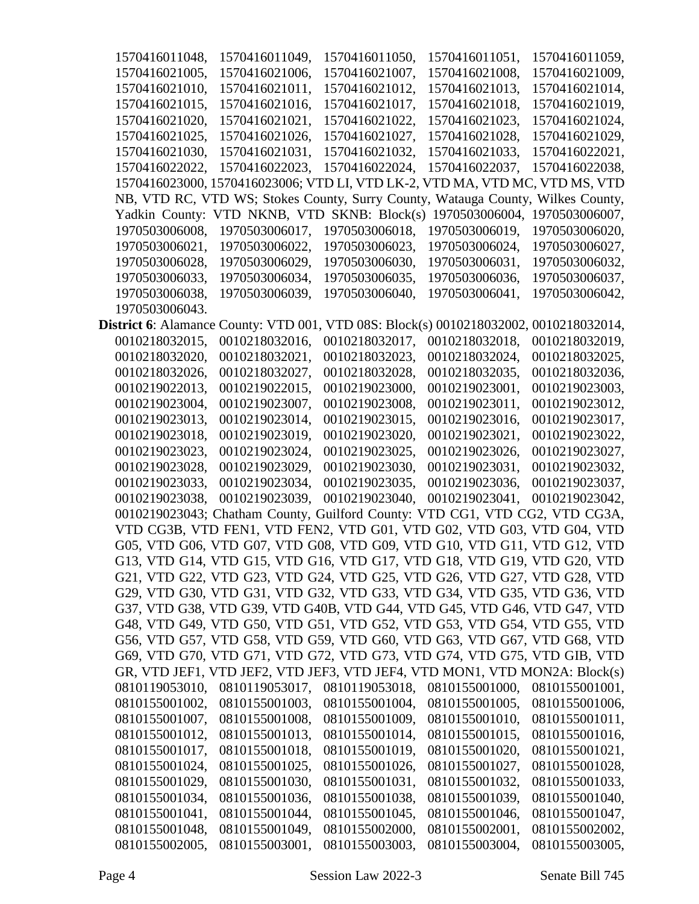| 1570416011048,                   | 1570416011049,                                                                               | 1570416011050,                   | 1570416011051,                   | 1570416011059,                   |
|----------------------------------|----------------------------------------------------------------------------------------------|----------------------------------|----------------------------------|----------------------------------|
| 1570416021005,                   | 1570416021006,                                                                               | 1570416021007,                   | 1570416021008,                   | 1570416021009,                   |
| 1570416021010,                   | 1570416021011,                                                                               | 1570416021012,                   | 1570416021013,                   | 1570416021014,                   |
| 1570416021015,                   | 1570416021016,                                                                               | 1570416021017,                   | 1570416021018,                   | 1570416021019,                   |
| 1570416021020,                   | 1570416021021,                                                                               | 1570416021022,                   | 1570416021023,                   | 1570416021024,                   |
| 1570416021025,                   | 1570416021026,                                                                               | 1570416021027,                   | 1570416021028,                   | 1570416021029,                   |
| 1570416021030,                   | 1570416021031,                                                                               | 1570416021032,                   | 1570416021033,                   | 1570416022021,                   |
| 1570416022022,                   | 1570416022023,                                                                               | 1570416022024,                   | 1570416022037,                   | 1570416022038,                   |
|                                  | 1570416023000, 1570416023006; VTD LI, VTD LK-2, VTD MA, VTD MC, VTD MS, VTD                  |                                  |                                  |                                  |
|                                  | NB, VTD RC, VTD WS; Stokes County, Surry County, Watauga County, Wilkes County,              |                                  |                                  |                                  |
|                                  | Yadkin County: VTD NKNB, VTD                                                                 | SKNB: Block(s)                   | 1970503006004,                   | 1970503006007,                   |
| 1970503006008,                   | 1970503006017,                                                                               | 1970503006018,                   | 1970503006019,                   | 1970503006020,                   |
| 1970503006021,                   | 1970503006022,                                                                               | 1970503006023,                   | 1970503006024,                   | 1970503006027,                   |
| 1970503006028,                   | 1970503006029,                                                                               | 1970503006030,                   | 1970503006031,                   | 1970503006032,                   |
| 1970503006033,                   | 1970503006034,                                                                               | 1970503006035,                   | 1970503006036,                   | 1970503006037,                   |
| 1970503006038,                   | 1970503006039,                                                                               | 1970503006040,                   | 1970503006041,                   | 1970503006042,                   |
| 1970503006043.                   |                                                                                              |                                  |                                  |                                  |
|                                  | <b>District 6:</b> Alamance County: VTD 001, VTD 08S: Block(s) 0010218032002, 0010218032014, |                                  |                                  |                                  |
| 0010218032015,                   | 0010218032016,                                                                               | 0010218032017,                   | 0010218032018,                   | 0010218032019.                   |
| 0010218032020,                   | 0010218032021,                                                                               | 0010218032023,                   | 0010218032024,                   | 0010218032025,                   |
| 0010218032026,                   | 0010218032027,                                                                               | 0010218032028,                   | 0010218032035,                   | 0010218032036,                   |
| 0010219022013,                   | 0010219022015,                                                                               | 0010219023000,                   | 0010219023001,                   | 0010219023003,                   |
| 0010219023004,                   | 0010219023007,                                                                               | 0010219023008,                   | 0010219023011,                   | 0010219023012,                   |
| 0010219023013,                   | 0010219023014,                                                                               | 0010219023015,                   | 0010219023016,                   | 0010219023017,                   |
| 0010219023018,                   | 0010219023019,                                                                               | 0010219023020,                   | 0010219023021,                   | 0010219023022,                   |
| 0010219023023,                   | 0010219023024,                                                                               | 0010219023025,                   | 0010219023026,                   | 0010219023027,                   |
| 0010219023028,                   | 0010219023029,                                                                               | 0010219023030,                   | 0010219023031,                   | 0010219023032,                   |
| 0010219023033,                   | 0010219023034,                                                                               | 0010219023035,                   | 0010219023036,                   | 0010219023037,                   |
| 0010219023038.                   | 0010219023039,                                                                               | 0010219023040,                   | 0010219023041,                   | 0010219023042,                   |
|                                  | 0010219023043; Chatham County, Guilford County: VTD CG1, VTD CG2, VTD CG3A,                  |                                  |                                  |                                  |
|                                  | VTD CG3B, VTD FEN1, VTD FEN2, VTD G01, VTD G02, VTD G03, VTD G04, VTD                        |                                  |                                  |                                  |
|                                  | G05, VTD G06, VTD G07, VTD G08, VTD G09, VTD G10, VTD G11, VTD G12, VTD                      |                                  |                                  |                                  |
|                                  | G13, VTD G14, VTD G15, VTD G16, VTD G17, VTD G18, VTD G19, VTD G20, VTD                      |                                  |                                  |                                  |
|                                  | G21, VTD G22, VTD G23, VTD G24, VTD G25, VTD G26, VTD G27, VTD G28, VTD                      |                                  |                                  |                                  |
|                                  | G29, VTD G30, VTD G31, VTD G32, VTD G33, VTD G34, VTD G35, VTD G36, VTD                      |                                  |                                  |                                  |
|                                  | G37, VTD G38, VTD G39, VTD G40B, VTD G44, VTD G45, VTD G46, VTD G47, VTD                     |                                  |                                  |                                  |
|                                  | G48, VTD G49, VTD G50, VTD G51, VTD G52, VTD G53, VTD G54, VTD G55, VTD                      |                                  |                                  |                                  |
|                                  | G56, VTD G57, VTD G58, VTD G59, VTD G60, VTD G63, VTD G67, VTD G68, VTD                      |                                  |                                  |                                  |
|                                  | G69, VTD G70, VTD G71, VTD G72, VTD G73, VTD G74, VTD G75, VTD GIB, VTD                      |                                  |                                  |                                  |
|                                  | GR, VTD JEF1, VTD JEF2, VTD JEF3, VTD JEF4, VTD MON1, VTD MON2A: Block(s)                    |                                  |                                  |                                  |
| 0810119053010,                   |                                                                                              | 0810119053017, 0810119053018,    | 0810155001000,                   | 0810155001001,                   |
| 0810155001002,                   | 0810155001003,                                                                               | 0810155001004,                   | 0810155001005,                   | 0810155001006,                   |
| 0810155001007,                   | 0810155001008,<br>0810155001013,                                                             | 0810155001009,                   | 0810155001010,                   | 0810155001011,                   |
| 0810155001012,                   | 0810155001018,                                                                               | 0810155001014,<br>0810155001019, | 0810155001015,<br>0810155001020, | 0810155001016,<br>0810155001021, |
| 0810155001017,<br>0810155001024, | 0810155001025,                                                                               | 0810155001026,                   | 0810155001027,                   | 0810155001028,                   |
| 0810155001029,                   | 0810155001030,                                                                               | 0810155001031,                   | 0810155001032,                   | 0810155001033,                   |
| 0810155001034,                   | 0810155001036,                                                                               | 0810155001038,                   | 0810155001039,                   | 0810155001040,                   |
| 0810155001041,                   | 0810155001044,                                                                               | 0810155001045,                   | 0810155001046,                   | 0810155001047,                   |
| 0810155001048,                   | 0810155001049,                                                                               | 0810155002000,                   | 0810155002001,                   | 0810155002002,                   |
| 0810155002005,                   | 0810155003001,                                                                               | 0810155003003,                   | 0810155003004,                   | 0810155003005,                   |
|                                  |                                                                                              |                                  |                                  |                                  |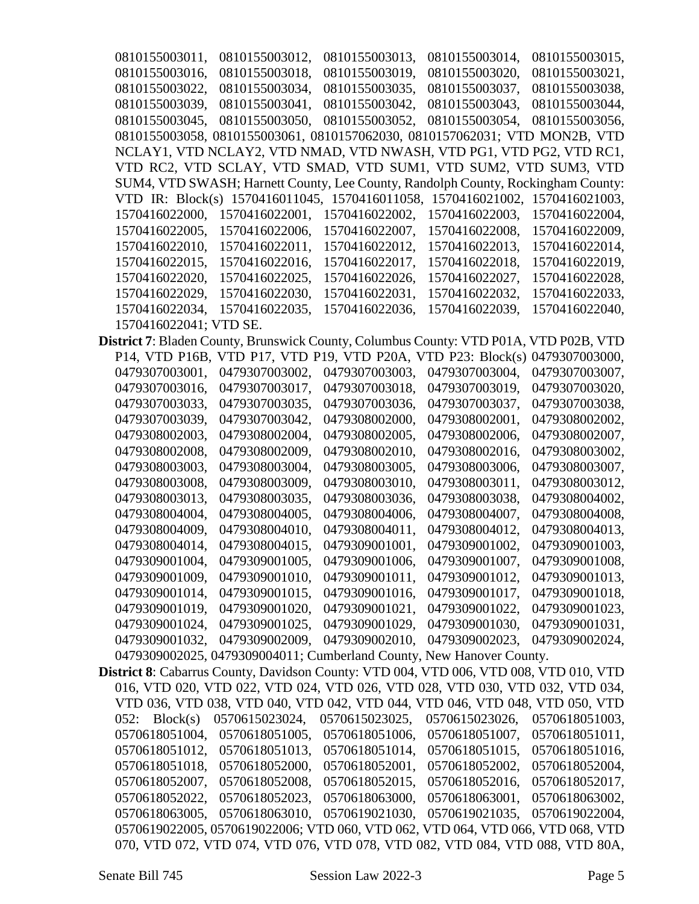0810155003011, 0810155003012, 0810155003013, 0810155003014, 0810155003015, 0810155003016, 0810155003018, 0810155003019, 0810155003020, 0810155003021, 0810155003022, 0810155003034, 0810155003035, 0810155003037, 0810155003038, 0810155003039, 0810155003041, 0810155003042, 0810155003043, 0810155003044, 0810155003045, 0810155003050, 0810155003052, 0810155003054, 0810155003056, 0810155003058, 0810155003061, 0810157062030, 0810157062031; VTD MON2B, VTD NCLAY1, VTD NCLAY2, VTD NMAD, VTD NWASH, VTD PG1, VTD PG2, VTD RC1, VTD RC2, VTD SCLAY, VTD SMAD, VTD SUM1, VTD SUM2, VTD SUM3, VTD SUM4, VTD SWASH; Harnett County, Lee County, Randolph County, Rockingham County: VTD IR: Block(s) 1570416011045, 1570416011058, 1570416021002, 1570416021003, 1570416022000, 1570416022001, 1570416022002, 1570416022003, 1570416022004, 1570416022005, 1570416022006, 1570416022007, 1570416022008, 1570416022009, 1570416022010, 1570416022011, 1570416022012, 1570416022013, 1570416022014, 1570416022015, 1570416022016, 1570416022017, 1570416022018, 1570416022019, 1570416022020, 1570416022025, 1570416022026, 1570416022027, 1570416022028, 1570416022029, 1570416022030, 1570416022031, 1570416022032, 1570416022033, 1570416022034, 1570416022035, 1570416022036, 1570416022039, 1570416022040, 1570416022041; VTD SE. **District 7**: Bladen County, Brunswick County, Columbus County: VTD P01A, VTD P02B, VTD P14, VTD P16B, VTD P17, VTD P19, VTD P20A, VTD P23: Block(s) 0479307003000, 0479307003001, 0479307003002, 0479307003003, 0479307003004, 0479307003007, 0479307003016, 0479307003017, 0479307003018, 0479307003019, 0479307003020, 0479307003033, 0479307003035, 0479307003036, 0479307003037, 0479307003038, 0479307003039, 0479307003042, 0479308002000, 0479308002001, 0479308002002, 0479308002003, 0479308002004, 0479308002005, 0479308002006, 0479308002007, 0479308002008, 0479308002009, 0479308002010, 0479308002016, 0479308003002, 0479308003003, 0479308003004, 0479308003005, 0479308003006, 0479308003007, 0479308003008, 0479308003009, 0479308003010, 0479308003011, 0479308003012, 0479308003013, 0479308003035, 0479308003036, 0479308003038, 0479308004002, 0479308004004, 0479308004005, 0479308004006, 0479308004007, 0479308004008, 0479308004009, 0479308004010, 0479308004011, 0479308004012, 0479308004013, 0479308004014, 0479308004015, 0479309001001, 0479309001002, 0479309001003, 0479309001004, 0479309001005, 0479309001006, 0479309001007, 0479309001008, 0479309001009, 0479309001010, 0479309001011, 0479309001012, 0479309001013, 0479309001014, 0479309001015, 0479309001016, 0479309001017, 0479309001018, 0479309001019, 0479309001020, 0479309001021, 0479309001022, 0479309001023, 0479309001024, 0479309001025, 0479309001029, 0479309001030, 0479309001031, 0479309001032, 0479309002009, 0479309002010, 0479309002023, 0479309002024, 0479309002025, 0479309004011; Cumberland County, New Hanover County. **District 8**: Cabarrus County, Davidson County: VTD 004, VTD 006, VTD 008, VTD 010, VTD 016, VTD 020, VTD 022, VTD 024, VTD 026, VTD 028, VTD 030, VTD 032, VTD 034, VTD 036, VTD 038, VTD 040, VTD 042, VTD 044, VTD 046, VTD 048, VTD 050, VTD 052: Block(s) 0570615023024, 0570615023025, 0570615023026, 0570618051003, 0570618051004, 0570618051005, 0570618051006, 0570618051007, 0570618051011, 0570618051012, 0570618051013, 0570618051014, 0570618051015, 0570618051016, 0570618051018, 0570618052000, 0570618052001, 0570618052002, 0570618052004, 0570618052007, 0570618052008, 0570618052015, 0570618052016, 0570618052017, 0570618052022, 0570618052023, 0570618063000, 0570618063001, 0570618063002, 0570618063005, 0570618063010, 0570619021030, 0570619021035, 0570619022004, 0570619022005, 0570619022006; VTD 060, VTD 062, VTD 064, VTD 066, VTD 068, VTD 070, VTD 072, VTD 074, VTD 076, VTD 078, VTD 082, VTD 084, VTD 088, VTD 80A,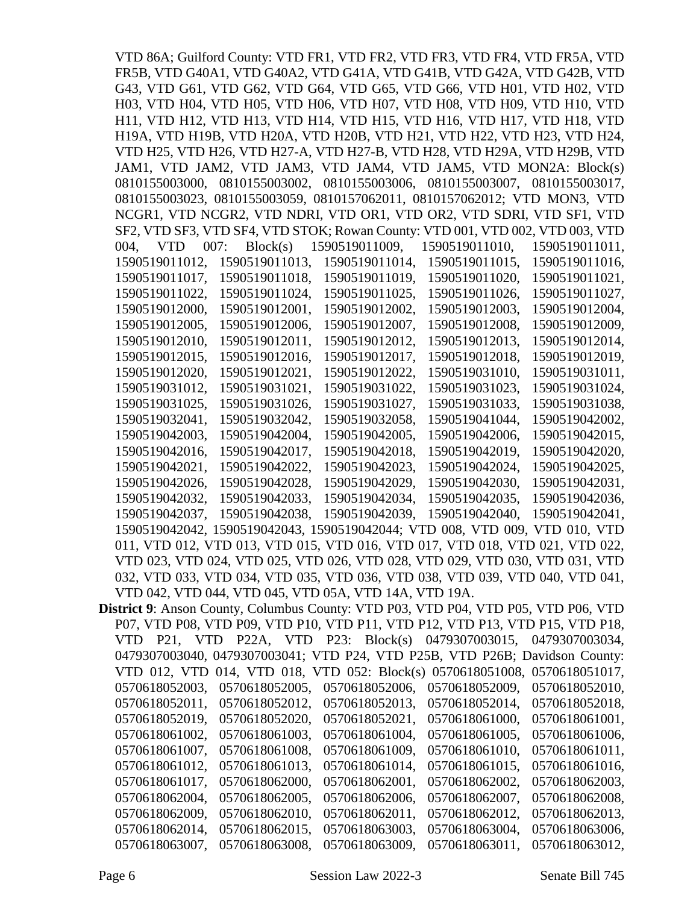VTD 86A; Guilford County: VTD FR1, VTD FR2, VTD FR3, VTD FR4, VTD FR5A, VTD FR5B, VTD G40A1, VTD G40A2, VTD G41A, VTD G41B, VTD G42A, VTD G42B, VTD G43, VTD G61, VTD G62, VTD G64, VTD G65, VTD G66, VTD H01, VTD H02, VTD H03, VTD H04, VTD H05, VTD H06, VTD H07, VTD H08, VTD H09, VTD H10, VTD H11, VTD H12, VTD H13, VTD H14, VTD H15, VTD H16, VTD H17, VTD H18, VTD H19A, VTD H19B, VTD H20A, VTD H20B, VTD H21, VTD H22, VTD H23, VTD H24, VTD H25, VTD H26, VTD H27-A, VTD H27-B, VTD H28, VTD H29A, VTD H29B, VTD JAM1, VTD JAM2, VTD JAM3, VTD JAM4, VTD JAM5, VTD MON2A: Block(s) 0810155003000, 0810155003002, 0810155003006, 0810155003007, 0810155003017, 0810155003023, 0810155003059, 0810157062011, 0810157062012; VTD MON3, VTD NCGR1, VTD NCGR2, VTD NDRI, VTD OR1, VTD OR2, VTD SDRI, VTD SF1, VTD SF2, VTD SF3, VTD SF4, VTD STOK; Rowan County: VTD 001, VTD 002, VTD 003, VTD 004, VTD 007: Block(s) 1590519011009, 1590519011010, 1590519011011, 1590519011012, 1590519011013, 1590519011014, 1590519011015, 1590519011016, 1590519011017, 1590519011018, 1590519011019, 1590519011020, 1590519011021, 1590519011022, 1590519011024, 1590519011025, 1590519011026, 1590519011027, 1590519012000, 1590519012001, 1590519012002, 1590519012003, 1590519012004, 1590519012005, 1590519012006, 1590519012007, 1590519012008, 1590519012009, 1590519012010, 1590519012011, 1590519012012, 1590519012013, 1590519012014, 1590519012015, 1590519012016, 1590519012017, 1590519012018, 1590519012019, 1590519012020, 1590519012021, 1590519012022, 1590519031010, 1590519031011, 1590519031012, 1590519031021, 1590519031022, 1590519031023, 1590519031024, 1590519031025, 1590519031026, 1590519031027, 1590519031033, 1590519031038, 1590519032041, 1590519032042, 1590519032058, 1590519041044, 1590519042002, 1590519042003, 1590519042004, 1590519042005, 1590519042006, 1590519042015, 1590519042016, 1590519042017, 1590519042018, 1590519042019, 1590519042020, 1590519042021, 1590519042022, 1590519042023, 1590519042024, 1590519042025, 1590519042026, 1590519042028, 1590519042029, 1590519042030, 1590519042031, 1590519042032, 1590519042033, 1590519042034, 1590519042035, 1590519042036, 1590519042037, 1590519042038, 1590519042039, 1590519042040, 1590519042041, 1590519042042, 1590519042043, 1590519042044; VTD 008, VTD 009, VTD 010, VTD 011, VTD 012, VTD 013, VTD 015, VTD 016, VTD 017, VTD 018, VTD 021, VTD 022, VTD 023, VTD 024, VTD 025, VTD 026, VTD 028, VTD 029, VTD 030, VTD 031, VTD 032, VTD 033, VTD 034, VTD 035, VTD 036, VTD 038, VTD 039, VTD 040, VTD 041, VTD 042, VTD 044, VTD 045, VTD 05A, VTD 14A, VTD 19A. **District 9**: Anson County, Columbus County: VTD P03, VTD P04, VTD P05, VTD P06, VTD P07, VTD P08, VTD P09, VTD P10, VTD P11, VTD P12, VTD P13, VTD P15, VTD P18, VTD P21, VTD P22A, VTD P23: Block(s) 0479307003015, 0479307003034, VTD 012, VTD 014, VTD 018, VTD 052: Block(s) 0570618051008, 0570618051017,

0479307003040, 0479307003041; VTD P24, VTD P25B, VTD P26B; Davidson County: 0570618052003, 0570618052005, 0570618052006, 0570618052009, 0570618052010, 0570618052011, 0570618052012, 0570618052013, 0570618052014, 0570618052018, 0570618052019, 0570618052020, 0570618052021, 0570618061000, 0570618061001, 0570618061002, 0570618061003, 0570618061004, 0570618061005, 0570618061006, 0570618061007, 0570618061008, 0570618061009, 0570618061010, 0570618061011, 0570618061012, 0570618061013, 0570618061014, 0570618061015, 0570618061016, 0570618061017, 0570618062000, 0570618062001, 0570618062002, 0570618062003, 0570618062004, 0570618062005, 0570618062006, 0570618062007, 0570618062008, 0570618062009, 0570618062010, 0570618062011, 0570618062012, 0570618062013, 0570618062014, 0570618062015, 0570618063003, 0570618063004, 0570618063006, 0570618063007, 0570618063008, 0570618063009, 0570618063011, 0570618063012,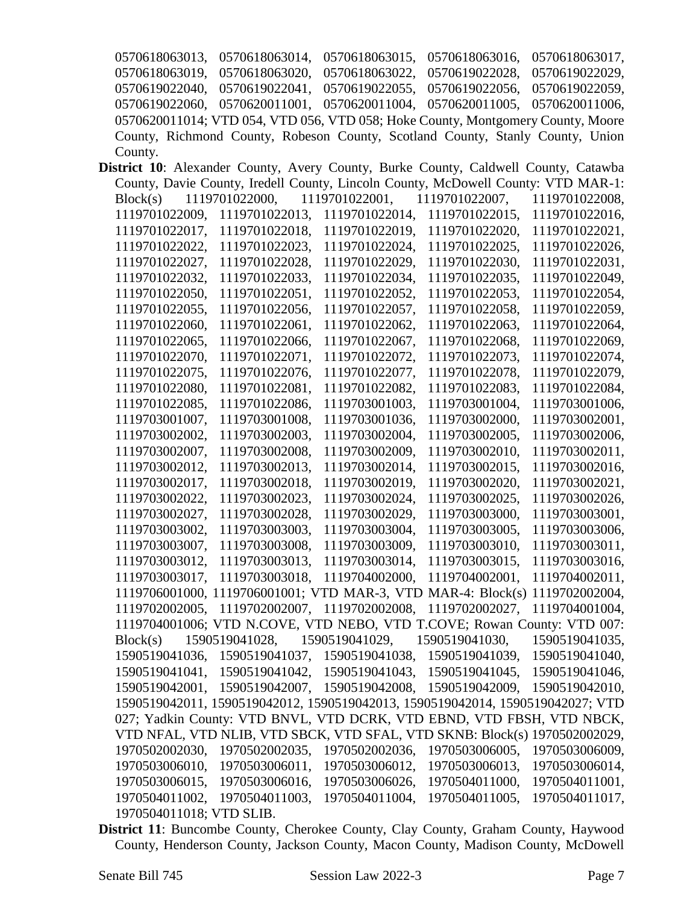0570618063013, 0570618063014, 0570618063015, 0570618063016, 0570618063017, 0570618063019, 0570618063020, 0570618063022, 0570619022028, 0570619022029, 0570619022040, 0570619022041, 0570619022055, 0570619022056, 0570619022059, 0570619022060, 0570620011001, 0570620011004, 0570620011005, 0570620011006, 0570620011014; VTD 054, VTD 056, VTD 058; Hoke County, Montgomery County, Moore County, Richmond County, Robeson County, Scotland County, Stanly County, Union County.

- **District 10**: Alexander County, Avery County, Burke County, Caldwell County, Catawba County, Davie County, Iredell County, Lincoln County, McDowell County: VTD MAR-1: Block(s) 1119701022000, 1119701022001, 1119701022007, 1119701022008, 1119701022009, 1119701022013, 1119701022014, 1119701022015, 1119701022016, 1119701022017, 1119701022018, 1119701022019, 1119701022020, 1119701022021, 1119701022022, 1119701022023, 1119701022024, 1119701022025, 1119701022026, 1119701022027, 1119701022028, 1119701022029, 1119701022030, 1119701022031, 1119701022032, 1119701022033, 1119701022034, 1119701022035, 1119701022049, 1119701022050, 1119701022051, 1119701022052, 1119701022053, 1119701022054, 1119701022055, 1119701022056, 1119701022057, 1119701022058, 1119701022059, 1119701022060, 1119701022061, 1119701022062, 1119701022063, 1119701022064, 1119701022065, 1119701022066, 1119701022067, 1119701022068, 1119701022069, 1119701022070, 1119701022071, 1119701022072, 1119701022073, 1119701022074, 1119701022075, 1119701022076, 1119701022077, 1119701022078, 1119701022079, 1119701022080, 1119701022081, 1119701022082, 1119701022083, 1119701022084, 1119701022085, 1119701022086, 1119703001003, 1119703001004, 1119703001006, 1119703001007, 1119703001008, 1119703001036, 1119703002000, 1119703002001, 1119703002002, 1119703002003, 1119703002004, 1119703002005, 1119703002006, 1119703002007, 1119703002008, 1119703002009, 1119703002010, 1119703002011, 1119703002012, 1119703002013, 1119703002014, 1119703002015, 1119703002016, 1119703002017, 1119703002018, 1119703002019, 1119703002020, 1119703002021, 1119703002022, 1119703002023, 1119703002024, 1119703002025, 1119703002026, 1119703002027, 1119703002028, 1119703002029, 1119703003000, 1119703003001, 1119703003002, 1119703003003, 1119703003004, 1119703003005, 1119703003006, 1119703003007, 1119703003008, 1119703003009, 1119703003010, 1119703003011, 1119703003012, 1119703003013, 1119703003014, 1119703003015, 1119703003016, 1119703003017, 1119703003018, 1119704002000, 1119704002001, 1119704002011, 1119706001000, 1119706001001; VTD MAR-3, VTD MAR-4: Block(s) 1119702002004, 1119702002005, 1119702002007, 1119702002008, 1119702002027, 1119704001004, 1119704001006; VTD N.COVE, VTD NEBO, VTD T.COVE; Rowan County: VTD 007: Block(s) 1590519041028, 1590519041029, 1590519041030, 1590519041035, 1590519041036, 1590519041037, 1590519041038, 1590519041039, 1590519041040, 1590519041041, 1590519041042, 1590519041043, 1590519041045, 1590519041046, 1590519042001, 1590519042007, 1590519042008, 1590519042009, 1590519042010, 1590519042011, 1590519042012, 1590519042013, 1590519042014, 1590519042027; VTD 027; Yadkin County: VTD BNVL, VTD DCRK, VTD EBND, VTD FBSH, VTD NBCK, VTD NFAL, VTD NLIB, VTD SBCK, VTD SFAL, VTD SKNB: Block(s) 1970502002029, 1970502002030, 1970502002035, 1970502002036, 1970503006005, 1970503006009, 1970503006010, 1970503006011, 1970503006012, 1970503006013, 1970503006014, 1970503006015, 1970503006016, 1970503006026, 1970504011000, 1970504011001, 1970504011002, 1970504011003, 1970504011004, 1970504011005, 1970504011017, 1970504011018; VTD SLIB.
- **District 11**: Buncombe County, Cherokee County, Clay County, Graham County, Haywood County, Henderson County, Jackson County, Macon County, Madison County, McDowell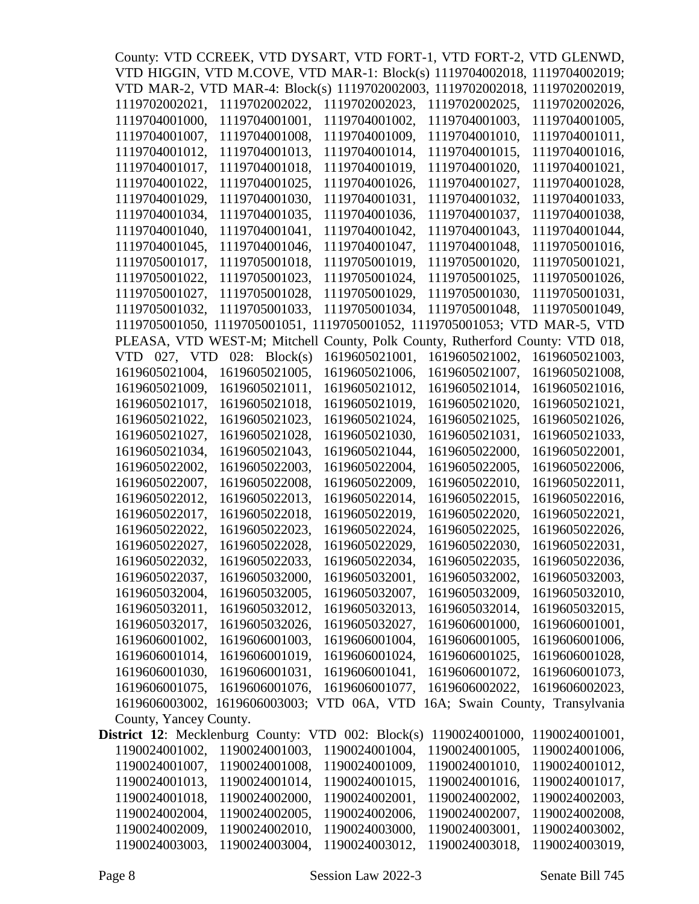|                                                                              |                 | County: VTD CCREEK, VTD DYSART, VTD FORT-1, VTD FORT-2, VTD GLENWD,           |                                 |                |  |  |  |  |  |
|------------------------------------------------------------------------------|-----------------|-------------------------------------------------------------------------------|---------------------------------|----------------|--|--|--|--|--|
|                                                                              |                 | VTD HIGGIN, VTD M.COVE, VTD MAR-1: Block(s) 1119704002018, 1119704002019;     |                                 |                |  |  |  |  |  |
|                                                                              |                 | VTD MAR-2, VTD MAR-4: Block(s) 1119702002003, 1119702002018, 1119702002019,   |                                 |                |  |  |  |  |  |
| 1119702002021,                                                               | 1119702002022,  | 1119702002023,                                                                | 1119702002025,                  | 1119702002026, |  |  |  |  |  |
| 1119704001000,                                                               | 1119704001001,  | 1119704001002,                                                                | 1119704001003.                  | 1119704001005, |  |  |  |  |  |
| 1119704001007,                                                               | 1119704001008,  | 1119704001009,                                                                | 1119704001010,                  | 1119704001011, |  |  |  |  |  |
| 1119704001012,                                                               | 1119704001013,  | 1119704001014,                                                                | 1119704001015,                  | 1119704001016, |  |  |  |  |  |
| 1119704001017,                                                               | 1119704001018,  | 1119704001019,                                                                | 1119704001020,                  | 1119704001021, |  |  |  |  |  |
| 1119704001022,                                                               | 1119704001025,  | 1119704001026,                                                                | 1119704001027,                  | 1119704001028, |  |  |  |  |  |
| 1119704001029,                                                               | 1119704001030,  | 1119704001031,                                                                | 1119704001032.                  | 1119704001033, |  |  |  |  |  |
| 1119704001034,                                                               | 1119704001035,  | 1119704001036,                                                                | 1119704001037,                  | 1119704001038, |  |  |  |  |  |
| 1119704001040,                                                               | 1119704001041,  | 1119704001042,                                                                | 1119704001043,                  | 1119704001044, |  |  |  |  |  |
| 1119704001045,                                                               | 1119704001046,  | 1119704001047,                                                                | 1119704001048,                  | 1119705001016, |  |  |  |  |  |
| 1119705001017,                                                               | 1119705001018,  | 1119705001019,                                                                | 1119705001020,                  | 1119705001021, |  |  |  |  |  |
| 1119705001022,                                                               | 1119705001023,  | 1119705001024,                                                                | 1119705001025,                  | 1119705001026, |  |  |  |  |  |
| 1119705001027,                                                               | 1119705001028,  | 1119705001029,                                                                | 1119705001030,                  | 1119705001031, |  |  |  |  |  |
| 1119705001032,                                                               | 1119705001033,  | 1119705001034,                                                                | 1119705001048,                  | 1119705001049, |  |  |  |  |  |
|                                                                              |                 | 1119705001050, 1119705001051, 1119705001052, 1119705001053; VTD MAR-5, VTD    |                                 |                |  |  |  |  |  |
|                                                                              |                 | PLEASA, VTD WEST-M; Mitchell County, Polk County, Rutherford County: VTD 018, |                                 |                |  |  |  |  |  |
| VTD 027, VTD                                                                 | 028: $Block(s)$ | 1619605021001,                                                                | 1619605021002,                  | 1619605021003, |  |  |  |  |  |
| 1619605021004,                                                               | 1619605021005,  | 1619605021006,                                                                | 1619605021007,                  | 1619605021008, |  |  |  |  |  |
| 1619605021009,                                                               | 1619605021011,  | 1619605021012,                                                                | 1619605021014,                  | 1619605021016, |  |  |  |  |  |
|                                                                              |                 |                                                                               |                                 |                |  |  |  |  |  |
| 1619605021017,                                                               | 1619605021018,  | 1619605021019,                                                                | 1619605021020,                  | 1619605021021, |  |  |  |  |  |
| 1619605021022,                                                               | 1619605021023,  | 1619605021024,                                                                | 1619605021025,                  | 1619605021026, |  |  |  |  |  |
| 1619605021027,                                                               | 1619605021028,  | 1619605021030,                                                                | 1619605021031,                  | 1619605021033, |  |  |  |  |  |
| 1619605021034,                                                               | 1619605021043,  | 1619605021044,                                                                | 1619605022000,                  | 1619605022001, |  |  |  |  |  |
| 1619605022002,                                                               | 1619605022003,  | 1619605022004,                                                                | 1619605022005,                  | 1619605022006, |  |  |  |  |  |
| 1619605022007,                                                               | 1619605022008,  | 1619605022009,                                                                | 1619605022010,                  | 1619605022011, |  |  |  |  |  |
| 1619605022012,                                                               | 1619605022013,  | 1619605022014,                                                                | 1619605022015,                  | 1619605022016. |  |  |  |  |  |
| 1619605022017.                                                               | 1619605022018,  | 1619605022019,                                                                | 1619605022020,                  | 1619605022021, |  |  |  |  |  |
| 1619605022022,                                                               | 1619605022023,  | 1619605022024,                                                                | 1619605022025.                  | 1619605022026, |  |  |  |  |  |
| 1619605022027,                                                               | 1619605022028,  | 1619605022029,                                                                | 1619605022030,                  | 1619605022031, |  |  |  |  |  |
| 1619605022032,                                                               | 1619605022033,  | 1619605022034,                                                                | 1619605022035,                  | 1619605022036, |  |  |  |  |  |
| 1619605022037,                                                               | 1619605032000,  | 1619605032001,                                                                | 1619605032002,                  | 1619605032003, |  |  |  |  |  |
| 1619605032004,                                                               | 1619605032005,  | 1619605032007,                                                                | 1619605032009,                  | 1619605032010, |  |  |  |  |  |
| 1619605032011,                                                               | 1619605032012,  | 1619605032013,                                                                | 1619605032014,                  | 1619605032015, |  |  |  |  |  |
| 1619605032017,                                                               | 1619605032026,  | 1619605032027,                                                                | 1619606001000,                  | 1619606001001, |  |  |  |  |  |
| 1619606001002,                                                               | 1619606001003,  | 1619606001004,                                                                | 1619606001005,                  | 1619606001006, |  |  |  |  |  |
| 1619606001014,                                                               | 1619606001019,  | 1619606001024,                                                                | 1619606001025,                  | 1619606001028, |  |  |  |  |  |
| 1619606001030,                                                               | 1619606001031,  | 1619606001041,                                                                | 1619606001072,                  | 1619606001073, |  |  |  |  |  |
| 1619606001075,                                                               | 1619606001076,  | 1619606001077,                                                                | 1619606002022,                  | 1619606002023, |  |  |  |  |  |
| 1619606003002,                                                               | 1619606003003;  | VTD 06A, VTD                                                                  | 16A; Swain County, Transylvania |                |  |  |  |  |  |
| County, Yancey County.<br>District 12: Mecklenburg County: VTD 002: Block(s) |                 |                                                                               |                                 |                |  |  |  |  |  |
|                                                                              |                 |                                                                               | 1190024001000,                  | 1190024001001, |  |  |  |  |  |
| 1190024001002,                                                               | 1190024001003,  | 1190024001004,                                                                | 1190024001005,                  | 1190024001006, |  |  |  |  |  |
| 1190024001007,                                                               | 1190024001008,  | 1190024001009,                                                                | 1190024001010,                  | 1190024001012, |  |  |  |  |  |
| 1190024001013,                                                               | 1190024001014,  | 1190024001015,                                                                | 1190024001016,                  | 1190024001017, |  |  |  |  |  |
| 1190024001018,                                                               | 1190024002000,  | 1190024002001,                                                                | 1190024002002,                  | 1190024002003, |  |  |  |  |  |
| 1190024002004,                                                               | 1190024002005,  | 1190024002006,                                                                | 1190024002007,                  | 1190024002008, |  |  |  |  |  |
| 1190024002009,                                                               | 1190024002010,  | 1190024003000,                                                                | 1190024003001,                  | 1190024003002, |  |  |  |  |  |
| 1190024003003,                                                               | 1190024003004,  | 1190024003012,                                                                | 1190024003018,                  | 1190024003019, |  |  |  |  |  |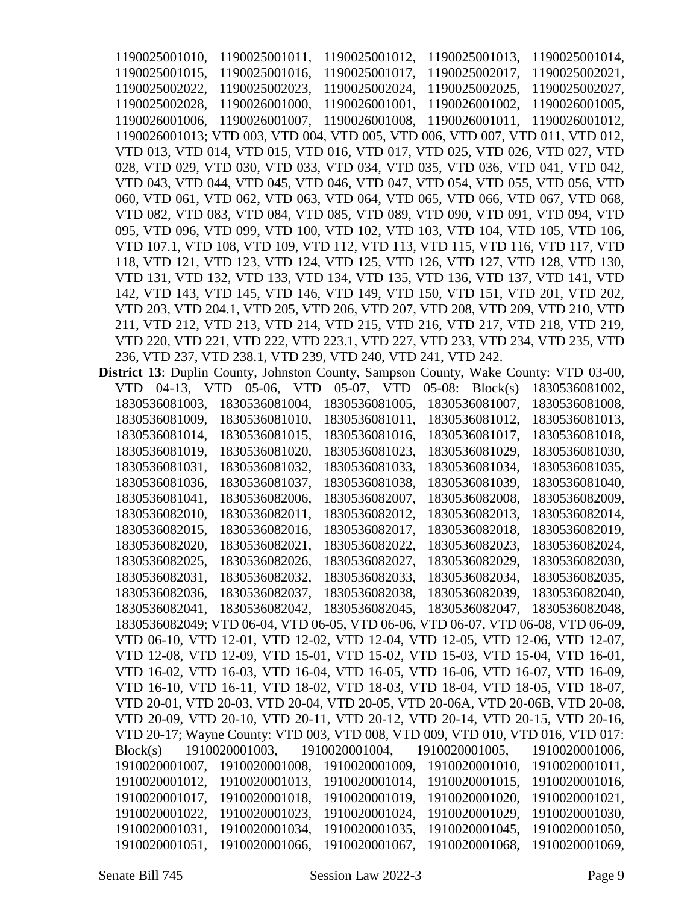1190025001010, 1190025001011, 1190025001012, 1190025001013, 1190025001014, 1190025001015, 1190025001016, 1190025001017, 1190025002017, 1190025002021, 1190025002022, 1190025002023, 1190025002024, 1190025002025, 1190025002027, 1190025002028, 1190026001000, 1190026001001, 1190026001002, 1190026001005, 1190026001006, 1190026001007, 1190026001008, 1190026001011, 1190026001012, 1190026001013; VTD 003, VTD 004, VTD 005, VTD 006, VTD 007, VTD 011, VTD 012, VTD 013, VTD 014, VTD 015, VTD 016, VTD 017, VTD 025, VTD 026, VTD 027, VTD 028, VTD 029, VTD 030, VTD 033, VTD 034, VTD 035, VTD 036, VTD 041, VTD 042, VTD 043, VTD 044, VTD 045, VTD 046, VTD 047, VTD 054, VTD 055, VTD 056, VTD 060, VTD 061, VTD 062, VTD 063, VTD 064, VTD 065, VTD 066, VTD 067, VTD 068, VTD 082, VTD 083, VTD 084, VTD 085, VTD 089, VTD 090, VTD 091, VTD 094, VTD 095, VTD 096, VTD 099, VTD 100, VTD 102, VTD 103, VTD 104, VTD 105, VTD 106, VTD 107.1, VTD 108, VTD 109, VTD 112, VTD 113, VTD 115, VTD 116, VTD 117, VTD 118, VTD 121, VTD 123, VTD 124, VTD 125, VTD 126, VTD 127, VTD 128, VTD 130, VTD 131, VTD 132, VTD 133, VTD 134, VTD 135, VTD 136, VTD 137, VTD 141, VTD 142, VTD 143, VTD 145, VTD 146, VTD 149, VTD 150, VTD 151, VTD 201, VTD 202, VTD 203, VTD 204.1, VTD 205, VTD 206, VTD 207, VTD 208, VTD 209, VTD 210, VTD 211, VTD 212, VTD 213, VTD 214, VTD 215, VTD 216, VTD 217, VTD 218, VTD 219, VTD 220, VTD 221, VTD 222, VTD 223.1, VTD 227, VTD 233, VTD 234, VTD 235, VTD 236, VTD 237, VTD 238.1, VTD 239, VTD 240, VTD 241, VTD 242.

**District 13**: Duplin County, Johnston County, Sampson County, Wake County: VTD 03-00, VTD 04-13, VTD 05-06, VTD 05-07, VTD 05-08: Block(s) 1830536081002, 1830536081003, 1830536081004, 1830536081005, 1830536081007, 1830536081008, 1830536081009, 1830536081010, 1830536081011, 1830536081012, 1830536081013, 1830536081014, 1830536081015, 1830536081016, 1830536081017, 1830536081018, 1830536081019, 1830536081020, 1830536081023, 1830536081029, 1830536081030, 1830536081031, 1830536081032, 1830536081033, 1830536081034, 1830536081035, 1830536081036, 1830536081037, 1830536081038, 1830536081039, 1830536081040, 1830536081041, 1830536082006, 1830536082007, 1830536082008, 1830536082009, 1830536082010, 1830536082011, 1830536082012, 1830536082013, 1830536082014, 1830536082015, 1830536082016, 1830536082017, 1830536082018, 1830536082019, 1830536082020, 1830536082021, 1830536082022, 1830536082023, 1830536082024, 1830536082025, 1830536082026, 1830536082027, 1830536082029, 1830536082030, 1830536082031, 1830536082032, 1830536082033, 1830536082034, 1830536082035, 1830536082036, 1830536082037, 1830536082038, 1830536082039, 1830536082040, 1830536082041, 1830536082042, 1830536082045, 1830536082047, 1830536082048, 1830536082049; VTD 06-04, VTD 06-05, VTD 06-06, VTD 06-07, VTD 06-08, VTD 06-09, VTD 06-10, VTD 12-01, VTD 12-02, VTD 12-04, VTD 12-05, VTD 12-06, VTD 12-07, VTD 12-08, VTD 12-09, VTD 15-01, VTD 15-02, VTD 15-03, VTD 15-04, VTD 16-01, VTD 16-02, VTD 16-03, VTD 16-04, VTD 16-05, VTD 16-06, VTD 16-07, VTD 16-09, VTD 16-10, VTD 16-11, VTD 18-02, VTD 18-03, VTD 18-04, VTD 18-05, VTD 18-07, VTD 20-01, VTD 20-03, VTD 20-04, VTD 20-05, VTD 20-06A, VTD 20-06B, VTD 20-08, VTD 20-09, VTD 20-10, VTD 20-11, VTD 20-12, VTD 20-14, VTD 20-15, VTD 20-16, VTD 20-17; Wayne County: VTD 003, VTD 008, VTD 009, VTD 010, VTD 016, VTD 017: Block(s) 1910020001003, 1910020001004, 1910020001005, 1910020001006, 1910020001007, 1910020001008, 1910020001009, 1910020001010, 1910020001011, 1910020001012, 1910020001013, 1910020001014, 1910020001015, 1910020001016, 1910020001017, 1910020001018, 1910020001019, 1910020001020, 1910020001021, 1910020001022, 1910020001023, 1910020001024, 1910020001029, 1910020001030, 1910020001031, 1910020001034, 1910020001035, 1910020001045, 1910020001050, 1910020001051, 1910020001066, 1910020001067, 1910020001068, 1910020001069,